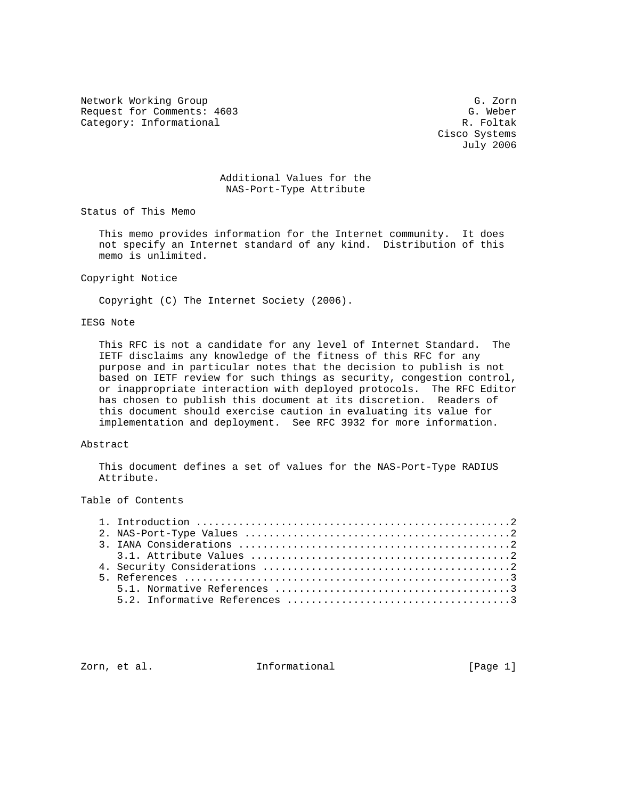Network Working Group Group G. Zorn Request for Comments: 4603 G. Weber<br>Category: Informational G. Weber Category: Informational

 Cisco Systems July 2006

## Additional Values for the NAS-Port-Type Attribute

Status of This Memo

 This memo provides information for the Internet community. It does not specify an Internet standard of any kind. Distribution of this memo is unlimited.

#### Copyright Notice

Copyright (C) The Internet Society (2006).

# IESG Note

 This RFC is not a candidate for any level of Internet Standard. The IETF disclaims any knowledge of the fitness of this RFC for any purpose and in particular notes that the decision to publish is not based on IETF review for such things as security, congestion control, or inappropriate interaction with deployed protocols. The RFC Editor has chosen to publish this document at its discretion. Readers of this document should exercise caution in evaluating its value for implementation and deployment. See RFC 3932 for more information.

#### Abstract

 This document defines a set of values for the NAS-Port-Type RADIUS Attribute.

## Table of Contents

Zorn, et al. **Informational** [Page 1]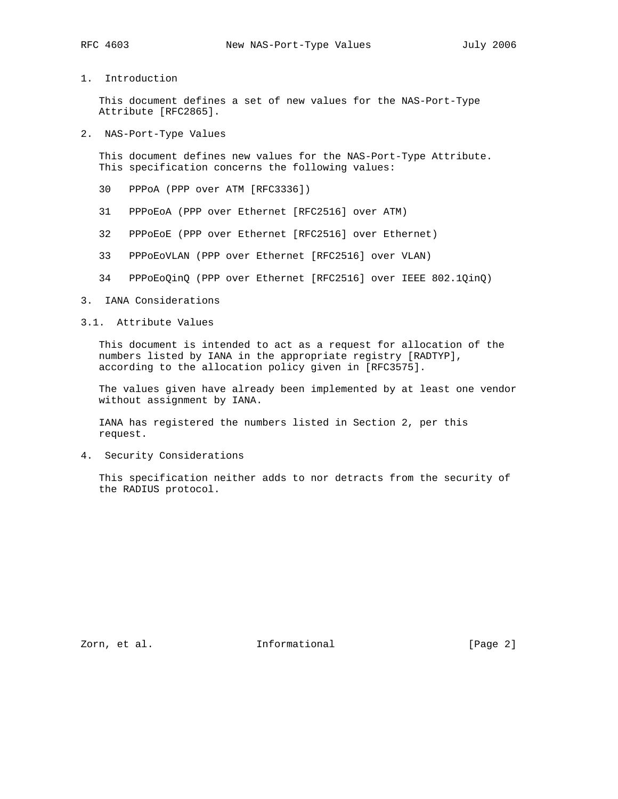1. Introduction

 This document defines a set of new values for the NAS-Port-Type Attribute [RFC2865].

2. NAS-Port-Type Values

 This document defines new values for the NAS-Port-Type Attribute. This specification concerns the following values:

- 30 PPPoA (PPP over ATM [RFC3336])
- 31 PPPoEoA (PPP over Ethernet [RFC2516] over ATM)
- 32 PPPoEoE (PPP over Ethernet [RFC2516] over Ethernet)
- 33 PPPoEoVLAN (PPP over Ethernet [RFC2516] over VLAN)
- 34 PPPoEoQinQ (PPP over Ethernet [RFC2516] over IEEE 802.1QinQ)
- 3. IANA Considerations

# 3.1. Attribute Values

 This document is intended to act as a request for allocation of the numbers listed by IANA in the appropriate registry [RADTYP], according to the allocation policy given in [RFC3575].

 The values given have already been implemented by at least one vendor without assignment by IANA.

 IANA has registered the numbers listed in Section 2, per this request.

4. Security Considerations

 This specification neither adds to nor detracts from the security of the RADIUS protocol.

Zorn, et al. 10. Informational 1. [Page 2]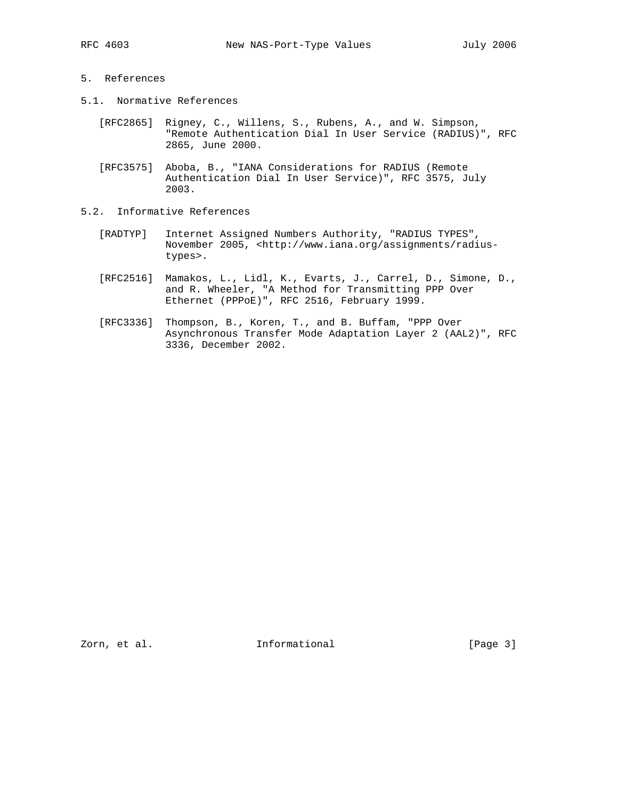## 5. References

- 5.1. Normative References
	- [RFC2865] Rigney, C., Willens, S., Rubens, A., and W. Simpson, "Remote Authentication Dial In User Service (RADIUS)", RFC 2865, June 2000.
	- [RFC3575] Aboba, B., "IANA Considerations for RADIUS (Remote Authentication Dial In User Service)", RFC 3575, July 2003.
- 5.2. Informative References
	- [RADTYP] Internet Assigned Numbers Authority, "RADIUS TYPES", November 2005, <http://www.iana.org/assignments/radius types>.
	- [RFC2516] Mamakos, L., Lidl, K., Evarts, J., Carrel, D., Simone, D., and R. Wheeler, "A Method for Transmitting PPP Over Ethernet (PPPoE)", RFC 2516, February 1999.
	- [RFC3336] Thompson, B., Koren, T., and B. Buffam, "PPP Over Asynchronous Transfer Mode Adaptation Layer 2 (AAL2)", RFC 3336, December 2002.

Zorn, et al. 10. Informational 1. [Page 3]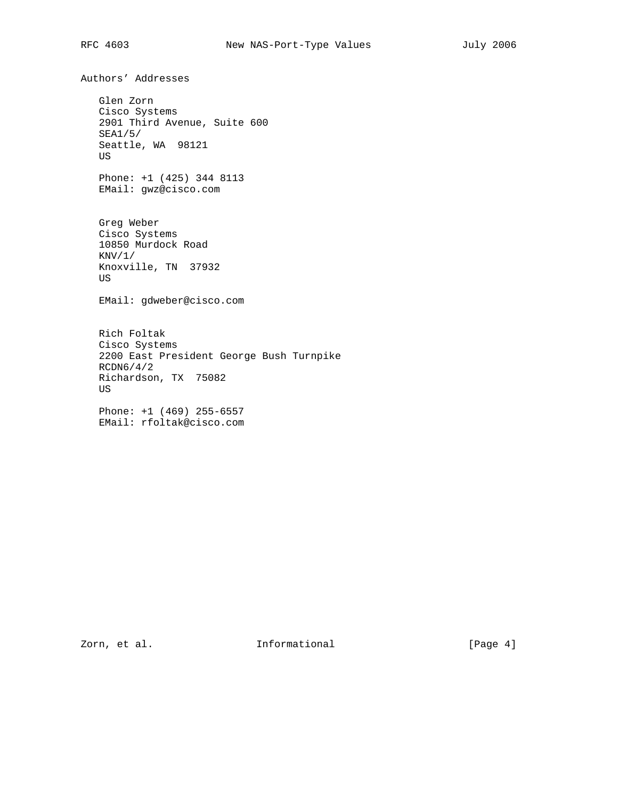Authors' Addresses Glen Zorn Cisco Systems 2901 Third Avenue, Suite 600 SEA1/5/ Seattle, WA 98121 US Phone: +1 (425) 344 8113 EMail: gwz@cisco.com Greg Weber Cisco Systems 10850 Murdock Road  $KNV/1/$  Knoxville, TN 37932 US EMail: gdweber@cisco.com Rich Foltak Cisco Systems 2200 East President George Bush Turnpike RCDN6/4/2 Richardson, TX 75082 US Phone: +1 (469) 255-6557 EMail: rfoltak@cisco.com

Zorn, et al. 10. Informational 1. [Page 4]